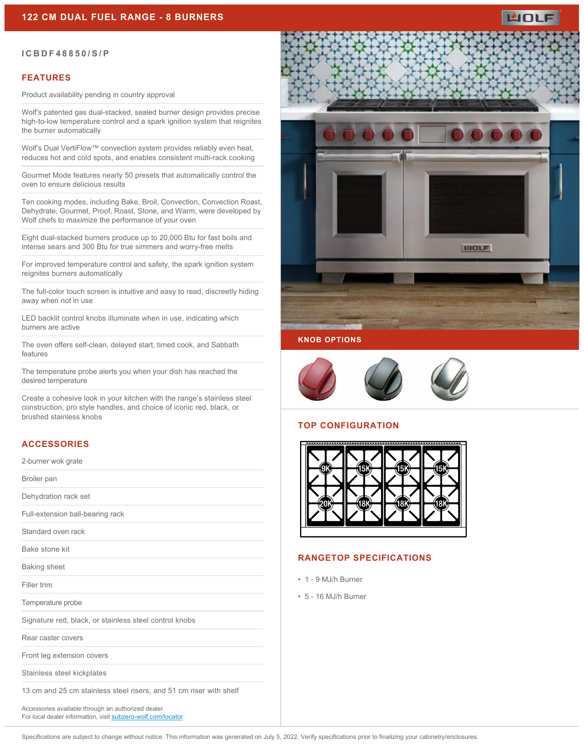

#### **ICBDF48850/S/P**

## **FEATURES**

Product availability pending in country approval

Wolf's patented gas dual-stacked, sealed burner design provides precise high-to-low temperature control and a spark ignition system that reignites the burner automatically

Wolf's Dual VertiFlow™ convection system provides reliably even heat, reduces hot and cold spots, and enables consistent multi-rack cooking

Gourmet Mode features nearly 50 presets that automatically control the oven to ensure delicious results

Ten cooking modes, including Bake, Broil, Convection, Convection Roast, Dehydrate, Gourmet, Proof, Roast, Stone, and Warm, were developed by Wolf chefs to maximize the performance of your oven

Eight dual-stacked burners produce up to 20,000 Btu for fast boils and intense sears and 300 Btu for true simmers and worry-free melts

For improved temperature control and safety, the spark ignition system reignites burners automatically

The full-color touch screen is intuitive and easy to read, discreetly hiding away when not in use

LED backlit control knobs illuminate when in use, indicating which burners are active

The oven offers self-clean, delayed start, timed cook, and Sabbath features

The temperature probe alerts you when your dish has reached the desired temperature

Create a cohesive look in your kitchen with the range's stainless steel construction, pro style handles, and choice of iconic red, black, or brushed stainless knobs

## **ACCESSORIES**

2-burner wok grate

Broiler pan

Dehydration rack set

Full-extension ball-bearing rack

Standard oven rack

Bake stone kit

Baking sheet

Filler trim

Temperature probe

Signature red, black, or stainless steel control knobs

Rear caster covers

Front leg extension covers

Stainless steel kickplates

13 cm and 25 cm stainless steel risers, and 51 cm riser with shelf

Accessories available through an authorized dealer. For local dealer information, visit [subzero-wolf.com/locator.](http://www.subzero-wolf.com/locator)



## **KNOB OPTIONS**



## **TOP CONFIGURATION**



## **RANGETOP SPECIFICATIONS**

- 1 9 MJ/h Burner
- 5 16 MJ/h Burner